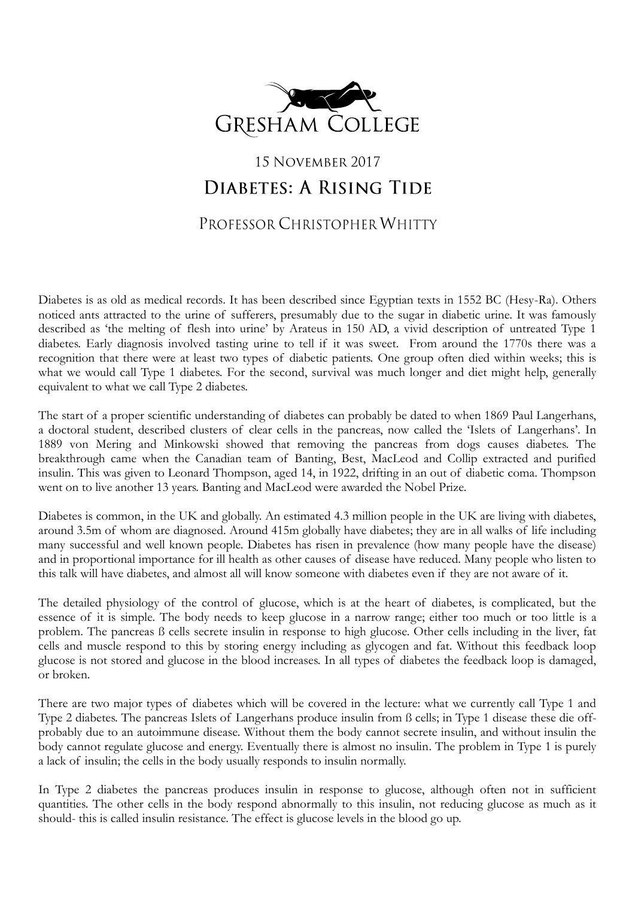

## 15 NOVEMBER 2017 DIABETES: A RISING TIDE

## PROFESSOR CHRISTOPHER WHITTY

Diabetes is as old as medical records. It has been described since Egyptian texts in 1552 BC (Hesy-Ra). Others noticed ants attracted to the urine of sufferers, presumably due to the sugar in diabetic urine. It was famously described as 'the melting of flesh into urine' by Arateus in 150 AD, a vivid description of untreated Type 1 diabetes. Early diagnosis involved tasting urine to tell if it was sweet. From around the 1770s there was a recognition that there were at least two types of diabetic patients. One group often died within weeks; this is what we would call Type 1 diabetes. For the second, survival was much longer and diet might help, generally equivalent to what we call Type 2 diabetes.

The start of a proper scientific understanding of diabetes can probably be dated to when 1869 Paul Langerhans, a doctoral student, described clusters of clear cells in the pancreas, now called the 'Islets of Langerhans'. In 1889 von Mering and Minkowski showed that removing the pancreas from dogs causes diabetes. The breakthrough came when the Canadian team of Banting, Best, MacLeod and Collip extracted and purified insulin. This was given to Leonard Thompson, aged 14, in 1922, drifting in an out of diabetic coma. Thompson went on to live another 13 years. Banting and MacLeod were awarded the Nobel Prize.

Diabetes is common, in the UK and globally. An estimated 4.3 million people in the UK are living with diabetes, around 3.5m of whom are diagnosed. Around 415m globally have diabetes; they are in all walks of life including many successful and well known people. Diabetes has risen in prevalence (how many people have the disease) and in proportional importance for ill health as other causes of disease have reduced. Many people who listen to this talk will have diabetes, and almost all will know someone with diabetes even if they are not aware of it.

The detailed physiology of the control of glucose, which is at the heart of diabetes, is complicated, but the essence of it is simple. The body needs to keep glucose in a narrow range; either too much or too little is a problem. The pancreas ß cells secrete insulin in response to high glucose. Other cells including in the liver, fat cells and muscle respond to this by storing energy including as glycogen and fat. Without this feedback loop glucose is not stored and glucose in the blood increases. In all types of diabetes the feedback loop is damaged, or broken.

There are two major types of diabetes which will be covered in the lecture: what we currently call Type 1 and Type 2 diabetes. The pancreas Islets of Langerhans produce insulin from ß cells; in Type 1 disease these die offprobably due to an autoimmune disease. Without them the body cannot secrete insulin, and without insulin the body cannot regulate glucose and energy. Eventually there is almost no insulin. The problem in Type 1 is purely a lack of insulin; the cells in the body usually responds to insulin normally.

In Type 2 diabetes the pancreas produces insulin in response to glucose, although often not in sufficient quantities. The other cells in the body respond abnormally to this insulin, not reducing glucose as much as it should- this is called insulin resistance. The effect is glucose levels in the blood go up.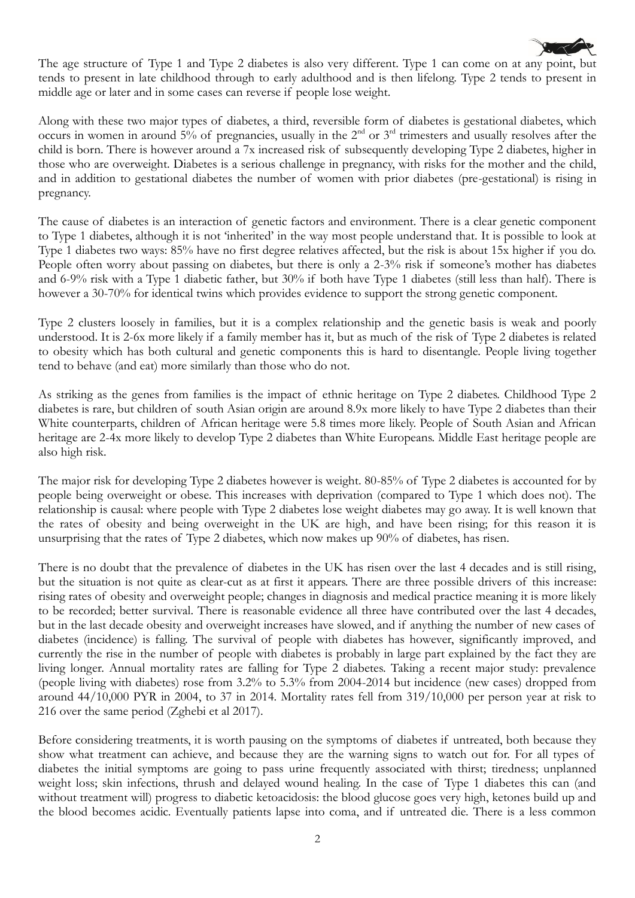

The age structure of Type 1 and Type 2 diabetes is also very different. Type 1 can come on at any point, but tends to present in late childhood through to early adulthood and is then lifelong. Type 2 tends to present in middle age or later and in some cases can reverse if people lose weight.

Along with these two major types of diabetes, a third, reversible form of diabetes is gestational diabetes, which occurs in women in around  $5\%$  of pregnancies, usually in the  $2<sup>nd</sup>$  or  $3<sup>rd</sup>$  trimesters and usually resolves after the child is born. There is however around a 7x increased risk of subsequently developing Type 2 diabetes, higher in those who are overweight. Diabetes is a serious challenge in pregnancy, with risks for the mother and the child, and in addition to gestational diabetes the number of women with prior diabetes (pre-gestational) is rising in pregnancy.

The cause of diabetes is an interaction of genetic factors and environment. There is a clear genetic component to Type 1 diabetes, although it is not 'inherited' in the way most people understand that. It is possible to look at Type 1 diabetes two ways: 85% have no first degree relatives affected, but the risk is about 15x higher if you do. People often worry about passing on diabetes, but there is only a 2-3% risk if someone's mother has diabetes and 6-9% risk with a Type 1 diabetic father, but 30% if both have Type 1 diabetes (still less than half). There is however a 30-70% for identical twins which provides evidence to support the strong genetic component.

Type 2 clusters loosely in families, but it is a complex relationship and the genetic basis is weak and poorly understood. It is 2-6x more likely if a family member has it, but as much of the risk of Type 2 diabetes is related to obesity which has both cultural and genetic components this is hard to disentangle. People living together tend to behave (and eat) more similarly than those who do not.

As striking as the genes from families is the impact of ethnic heritage on Type 2 diabetes. Childhood Type 2 diabetes is rare, but children of south Asian origin are around 8.9x more likely to have Type 2 diabetes than their White counterparts, children of African heritage were 5.8 times more likely. People of South Asian and African heritage are 2-4x more likely to develop Type 2 diabetes than White Europeans. Middle East heritage people are also high risk.

The major risk for developing Type 2 diabetes however is weight. 80-85% of Type 2 diabetes is accounted for by people being overweight or obese. This increases with deprivation (compared to Type 1 which does not). The relationship is causal: where people with Type 2 diabetes lose weight diabetes may go away. It is well known that the rates of obesity and being overweight in the UK are high, and have been rising; for this reason it is unsurprising that the rates of Type 2 diabetes, which now makes up 90% of diabetes, has risen.

There is no doubt that the prevalence of diabetes in the UK has risen over the last 4 decades and is still rising, but the situation is not quite as clear-cut as at first it appears. There are three possible drivers of this increase: rising rates of obesity and overweight people; changes in diagnosis and medical practice meaning it is more likely to be recorded; better survival. There is reasonable evidence all three have contributed over the last 4 decades, but in the last decade obesity and overweight increases have slowed, and if anything the number of new cases of diabetes (incidence) is falling. The survival of people with diabetes has however, significantly improved, and currently the rise in the number of people with diabetes is probably in large part explained by the fact they are living longer. Annual mortality rates are falling for Type 2 diabetes. Taking a recent major study: prevalence (people living with diabetes) rose from 3.2% to 5.3% from 2004-2014 but incidence (new cases) dropped from around 44/10,000 PYR in 2004, to 37 in 2014. Mortality rates fell from 319/10,000 per person year at risk to 216 over the same period (Zghebi et al 2017).

Before considering treatments, it is worth pausing on the symptoms of diabetes if untreated, both because they show what treatment can achieve, and because they are the warning signs to watch out for. For all types of diabetes the initial symptoms are going to pass urine frequently associated with thirst; tiredness; unplanned weight loss; skin infections, thrush and delayed wound healing. In the case of Type 1 diabetes this can (and without treatment will) progress to diabetic ketoacidosis: the blood glucose goes very high, ketones build up and the blood becomes acidic. Eventually patients lapse into coma, and if untreated die. There is a less common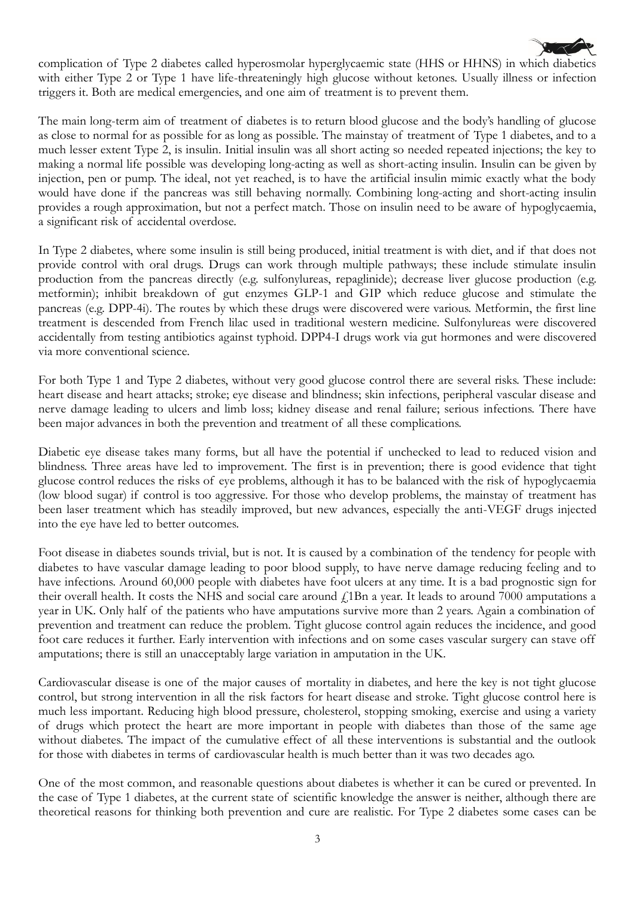complication of Type 2 diabetes called hyperosmolar hyperglycaemic state (HHS or HHNS) in which diabetics with either Type 2 or Type 1 have life-threateningly high glucose without ketones. Usually illness or infection triggers it. Both are medical emergencies, and one aim of treatment is to prevent them.

The main long-term aim of treatment of diabetes is to return blood glucose and the body's handling of glucose as close to normal for as possible for as long as possible. The mainstay of treatment of Type 1 diabetes, and to a much lesser extent Type 2, is insulin. Initial insulin was all short acting so needed repeated injections; the key to making a normal life possible was developing long-acting as well as short-acting insulin. Insulin can be given by injection, pen or pump. The ideal, not yet reached, is to have the artificial insulin mimic exactly what the body would have done if the pancreas was still behaving normally. Combining long-acting and short-acting insulin provides a rough approximation, but not a perfect match. Those on insulin need to be aware of hypoglycaemia, a significant risk of accidental overdose.

In Type 2 diabetes, where some insulin is still being produced, initial treatment is with diet, and if that does not provide control with oral drugs. Drugs can work through multiple pathways; these include stimulate insulin production from the pancreas directly (e.g. sulfonylureas, repaglinide); decrease liver glucose production (e.g. metformin); inhibit breakdown of gut enzymes GLP-1 and GIP which reduce glucose and stimulate the pancreas (e.g. DPP-4i). The routes by which these drugs were discovered were various. Metformin, the first line treatment is descended from French lilac used in traditional western medicine. Sulfonylureas were discovered accidentally from testing antibiotics against typhoid. DPP4-I drugs work via gut hormones and were discovered via more conventional science.

For both Type 1 and Type 2 diabetes, without very good glucose control there are several risks. These include: heart disease and heart attacks; stroke; eye disease and blindness; skin infections, peripheral vascular disease and nerve damage leading to ulcers and limb loss; kidney disease and renal failure; serious infections. There have been major advances in both the prevention and treatment of all these complications.

Diabetic eye disease takes many forms, but all have the potential if unchecked to lead to reduced vision and blindness. Three areas have led to improvement. The first is in prevention; there is good evidence that tight glucose control reduces the risks of eye problems, although it has to be balanced with the risk of hypoglycaemia (low blood sugar) if control is too aggressive. For those who develop problems, the mainstay of treatment has been laser treatment which has steadily improved, but new advances, especially the anti-VEGF drugs injected into the eye have led to better outcomes.

Foot disease in diabetes sounds trivial, but is not. It is caused by a combination of the tendency for people with diabetes to have vascular damage leading to poor blood supply, to have nerve damage reducing feeling and to have infections. Around 60,000 people with diabetes have foot ulcers at any time. It is a bad prognostic sign for their overall health. It costs the NHS and social care around  $f$ 1Bn a year. It leads to around 7000 amputations a year in UK. Only half of the patients who have amputations survive more than 2 years. Again a combination of prevention and treatment can reduce the problem. Tight glucose control again reduces the incidence, and good foot care reduces it further. Early intervention with infections and on some cases vascular surgery can stave off amputations; there is still an unacceptably large variation in amputation in the UK.

Cardiovascular disease is one of the major causes of mortality in diabetes, and here the key is not tight glucose control, but strong intervention in all the risk factors for heart disease and stroke. Tight glucose control here is much less important. Reducing high blood pressure, cholesterol, stopping smoking, exercise and using a variety of drugs which protect the heart are more important in people with diabetes than those of the same age without diabetes. The impact of the cumulative effect of all these interventions is substantial and the outlook for those with diabetes in terms of cardiovascular health is much better than it was two decades ago.

One of the most common, and reasonable questions about diabetes is whether it can be cured or prevented. In the case of Type 1 diabetes, at the current state of scientific knowledge the answer is neither, although there are theoretical reasons for thinking both prevention and cure are realistic. For Type 2 diabetes some cases can be